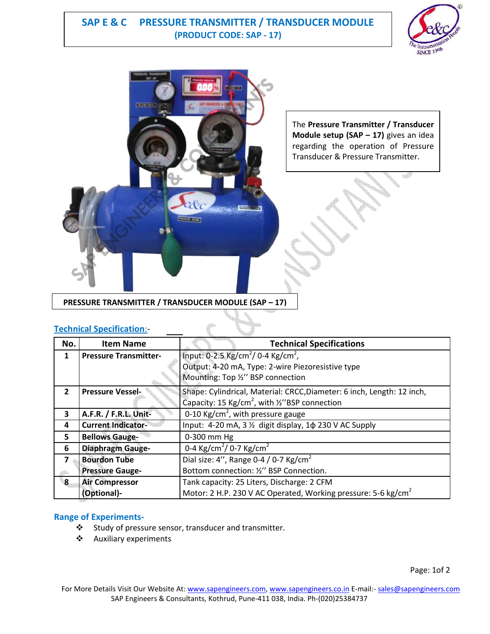# **SAP E & C PRESSURE TRANSMITTER / TRANSDUCER MODULE (PRODUCT CODE: SAP - 17)**





The **Pressure Transmitter / Transducer Module setup (SAP – 17)** gives an idea regarding the operation of Pressure Transducer & Pressure Transmitter.

**PRESSURE TRANSMITTER / TRANSDUCER MODULE (SAP – 17)**

### **Technical Specification**:-

| No.                     | <b>Item Name</b>             | <b>Technical Specifications</b>                                                        |
|-------------------------|------------------------------|----------------------------------------------------------------------------------------|
| 1                       | <b>Pressure Transmitter-</b> | Input: 0-2.5 Kg/cm <sup>2</sup> / 0-4 Kg/cm <sup>2</sup> ,                             |
|                         |                              | Output: 4-20 mA, Type: 2-wire Piezoresistive type<br>Mounting: Top 1/2" BSP connection |
|                         |                              |                                                                                        |
| $\overline{2}$          | <b>Pressure Vessel-</b>      | Shape: Cylindrical, Material: CRCC, Diameter: 6 inch, Length: 12 inch,                 |
|                         |                              | Capacity: 15 Kg/cm <sup>2</sup> , with $\frac{1}{2}$ "BSP connection                   |
| 3                       | A.F.R. / F.R.L. Unit-        | 0-10 Kg/cm <sup>2</sup> , with pressure gauge                                          |
| 4                       | <b>Current Indicator-</b>    | Input: 4-20 mA, 3 1/2 digit display, 1 \$ 230 V AC Supply                              |
| 5                       | <b>Bellows Gauge-</b>        | 0-300 mm Hg                                                                            |
| 6                       | <b>Diaphragm Gauge-</b>      | 0-4 Kg/cm <sup>2</sup> / 0-7 Kg/cm <sup>2</sup>                                        |
| $\overline{\mathbf{z}}$ | <b>Bourdon Tube</b>          | Dial size: 4", Range 0-4 / 0-7 $\text{Kg/cm}^2$                                        |
|                         | <b>Pressure Gauge-</b>       | Bottom connection: 1/2" BSP Connection.                                                |
| $\mathbf{R}$            | <b>Air Compressor</b>        | Tank capacity: 25 Liters, Discharge: 2 CFM                                             |
|                         | (Optional)-                  | Motor: 2 H.P. 230 V AC Operated, Working pressure: 5-6 kg/cm <sup>2</sup>              |

## **Range of Experiments-**

- Study of pressure sensor, transducer and transmitter.
- Auxiliary experiments